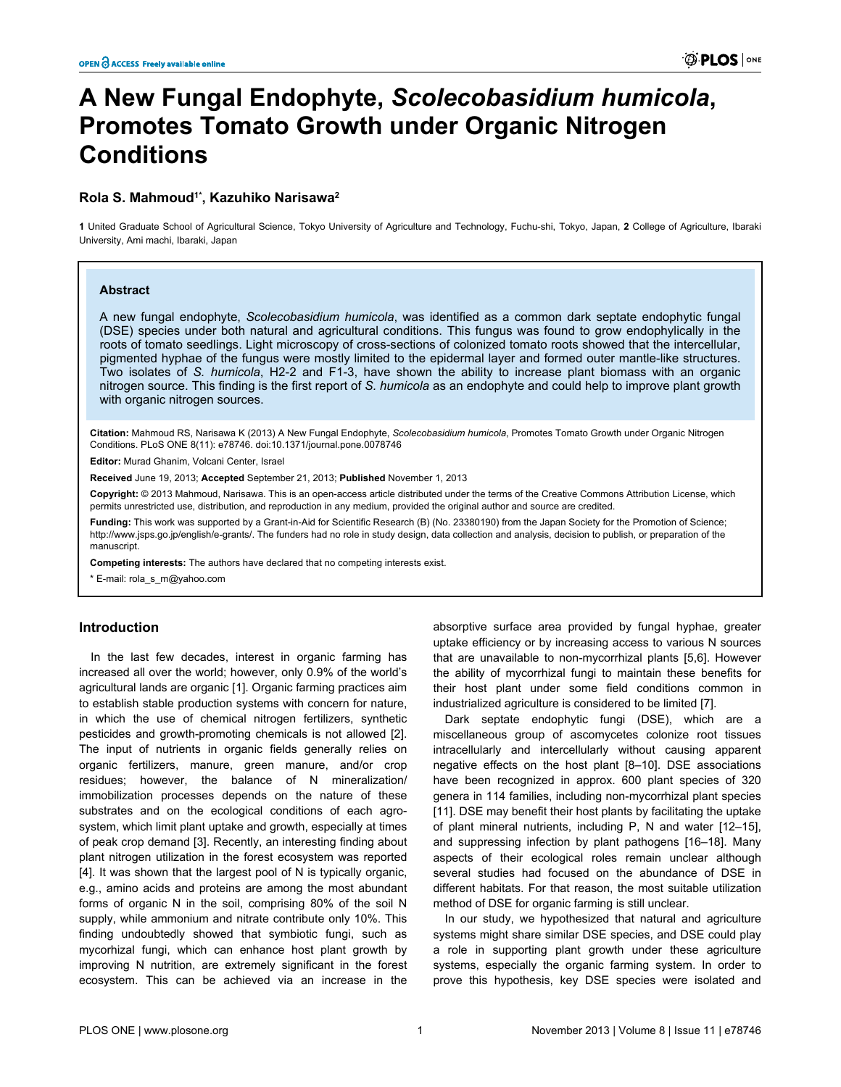# **A New Fungal Endophyte,** *Scolecobasidium humicola***, Promotes Tomato Growth under Organic Nitrogen Conditions**

# **Rola S. Mahmoud1\*, Kazuhiko Narisawa<sup>2</sup>**

**1** United Graduate School of Agricultural Science, Tokyo University of Agriculture and Technology, Fuchu-shi, Tokyo, Japan, **2** College of Agriculture, Ibaraki University, Ami machi, Ibaraki, Japan

#### **Abstract**

A new fungal endophyte, *Scolecobasidium humicola*, was identified as a common dark septate endophytic fungal (DSE) species under both natural and agricultural conditions. This fungus was found to grow endophylically in the roots of tomato seedlings. Light microscopy of cross-sections of colonized tomato roots showed that the intercellular, pigmented hyphae of the fungus were mostly limited to the epidermal layer and formed outer mantle-like structures. Two isolates of *S. humicola*, H2-2 and F1-3, have shown the ability to increase plant biomass with an organic nitrogen source. This finding is the first report of *S. humicola* as an endophyte and could help to improve plant growth with organic nitrogen sources.

**Citation:** Mahmoud RS, Narisawa K (2013) A New Fungal Endophyte, *Scolecobasidium humicola*, Promotes Tomato Growth under Organic Nitrogen Conditions. PLoS ONE 8(11): e78746. doi:10.1371/journal.pone.0078746

**Editor:** Murad Ghanim, Volcani Center, Israel

**Received** June 19, 2013; **Accepted** September 21, 2013; **Published** November 1, 2013

**Copyright:** © 2013 Mahmoud, Narisawa. This is an open-access article distributed under the terms of the Creative Commons Attribution License, which permits unrestricted use, distribution, and reproduction in any medium, provided the original author and source are credited.

Funding: This work was supported by a Grant-in-Aid for Scientific Research (B) (No. 23380190) from the Japan Society for the Promotion of Science; [http://www.jsps.go.jp/english/e-grants/](http://www.jsps.go.jp/english/e-grants). The funders had no role in study design, data collection and analysis, decision to publish, or preparation of the manuscript.

**Competing interests:** The authors have declared that no competing interests exist.

\* E-mail: rola\_s\_m@yahoo.com

# **Introduction**

In the last few decades, interest in organic farming has increased all over the world; however, only 0.9% of the world's agricultural lands are organic [[1](#page-7-0)]. Organic farming practices aim to establish stable production systems with concern for nature, in which the use of chemical nitrogen fertilizers, synthetic pesticides and growth-promoting chemicals is not allowed [\[2\]](#page-7-0). The input of nutrients in organic fields generally relies on organic fertilizers, manure, green manure, and/or crop residues; however, the balance of N mineralization/ immobilization processes depends on the nature of these substrates and on the ecological conditions of each agrosystem, which limit plant uptake and growth, especially at times of peak crop demand [\[3](#page-7-0)]. Recently, an interesting finding about plant nitrogen utilization in the forest ecosystem was reported [[4\]](#page-7-0). It was shown that the largest pool of N is typically organic, e.g., amino acids and proteins are among the most abundant forms of organic N in the soil, comprising 80% of the soil N supply, while ammonium and nitrate contribute only 10%. This finding undoubtedly showed that symbiotic fungi, such as mycorhizal fungi, which can enhance host plant growth by improving N nutrition, are extremely significant in the forest ecosystem. This can be achieved via an increase in the

absorptive surface area provided by fungal hyphae, greater uptake efficiency or by increasing access to various N sources that are unavailable to non-mycorrhizal plants [\[5](#page-7-0),[6](#page-7-0)]. However the ability of mycorrhizal fungi to maintain these benefits for their host plant under some field conditions common in industrialized agriculture is considered to be limited [[7](#page-7-0)].

Dark septate endophytic fungi (DSE), which are a miscellaneous group of ascomycetes colonize root tissues intracellularly and intercellularly without causing apparent negative effects on the host plant [[8–10](#page-7-0)]. DSE associations have been recognized in approx. 600 plant species of 320 genera in 114 families, including non-mycorrhizal plant species [[11](#page-7-0)]. DSE may benefit their host plants by facilitating the uptake of plant mineral nutrients, including P, N and water [\[12–15\]](#page-7-0), and suppressing infection by plant pathogens [\[16–18\]](#page-7-0). Many aspects of their ecological roles remain unclear although several studies had focused on the abundance of DSE in different habitats. For that reason, the most suitable utilization method of DSE for organic farming is still unclear.

In our study, we hypothesized that natural and agriculture systems might share similar DSE species, and DSE could play a role in supporting plant growth under these agriculture systems, especially the organic farming system. In order to prove this hypothesis, key DSE species were isolated and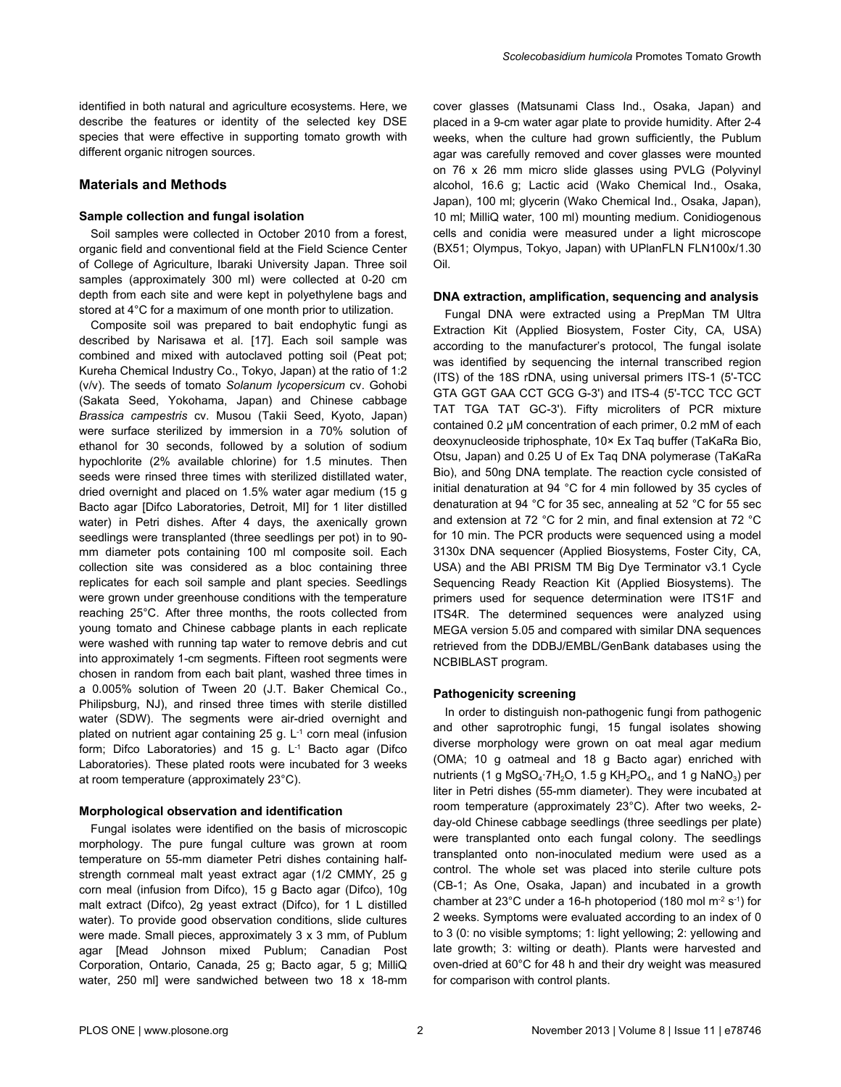## **Materials and Methods**

#### **Sample collection and fungal isolation**

Soil samples were collected in October 2010 from a forest, organic field and conventional field at the Field Science Center of College of Agriculture, Ibaraki University Japan. Three soil samples (approximately 300 ml) were collected at 0-20 cm depth from each site and were kept in polyethylene bags and stored at 4°C for a maximum of one month prior to utilization.

Composite soil was prepared to bait endophytic fungi as described by Narisawa et al. [\[17\]](#page-7-0). Each soil sample was combined and mixed with autoclaved potting soil (Peat pot; Kureha Chemical Industry Co., Tokyo, Japan) at the ratio of 1:2 (v/v). The seeds of tomato *Solanum lycopersicum* cv. Gohobi (Sakata Seed, Yokohama, Japan) and Chinese cabbage *Brassica campestris* cv. Musou (Takii Seed, Kyoto, Japan) were surface sterilized by immersion in a 70% solution of ethanol for 30 seconds, followed by a solution of sodium hypochlorite (2% available chlorine) for 1.5 minutes. Then seeds were rinsed three times with sterilized distillated water, dried overnight and placed on 1.5% water agar medium (15 g Bacto agar [Difco Laboratories, Detroit, MI] for 1 liter distilled water) in Petri dishes. After 4 days, the axenically grown seedlings were transplanted (three seedlings per pot) in to 90 mm diameter pots containing 100 ml composite soil. Each collection site was considered as a bloc containing three replicates for each soil sample and plant species. Seedlings were grown under greenhouse conditions with the temperature reaching 25°C. After three months, the roots collected from young tomato and Chinese cabbage plants in each replicate were washed with running tap water to remove debris and cut into approximately 1-cm segments. Fifteen root segments were chosen in random from each bait plant, washed three times in a 0.005% solution of Tween 20 (J.T. Baker Chemical Co., Philipsburg, NJ), and rinsed three times with sterile distilled water (SDW). The segments were air-dried overnight and plated on nutrient agar containing  $25$  g.  $L^{-1}$  corn meal (infusion form; Difco Laboratories) and 15 g.  $L<sup>1</sup>$  Bacto agar (Difco Laboratories). These plated roots were incubated for 3 weeks at room temperature (approximately 23°C).

#### **Morphological observation and identification**

Fungal isolates were identified on the basis of microscopic morphology. The pure fungal culture was grown at room temperature on 55-mm diameter Petri dishes containing halfstrength cornmeal malt yeast extract agar (1/2 CMMY, 25 g corn meal (infusion from Difco), 15 g Bacto agar (Difco), 10g malt extract (Difco), 2g yeast extract (Difco), for 1 L distilled water). To provide good observation conditions, slide cultures were made. Small pieces, approximately 3 x 3 mm, of Publum agar [Mead Johnson mixed Publum; Canadian Post Corporation, Ontario, Canada, 25 g; Bacto agar, 5 g; MilliQ water, 250 ml] were sandwiched between two 18 x 18-mm

cover glasses (Matsunami Class Ind., Osaka, Japan) and placed in a 9-cm water agar plate to provide humidity. After 2-4 weeks, when the culture had grown sufficiently, the Publum agar was carefully removed and cover glasses were mounted on 76 x 26 mm micro slide glasses using PVLG (Polyvinyl alcohol, 16.6 g; Lactic acid (Wako Chemical Ind., Osaka, Japan), 100 ml; glycerin (Wako Chemical Ind., Osaka, Japan), 10 ml; MilliQ water, 100 ml) mounting medium. Conidiogenous cells and conidia were measured under a light microscope (BX51; Olympus, Tokyo, Japan) with UPlanFLN FLN100x/1.30 Oil.

#### **DNA extraction, amplification, sequencing and analysis**

Fungal DNA were extracted using a PrepMan TM Ultra Extraction Kit (Applied Biosystem, Foster City, CA, USA) according to the manufacturer's protocol, The fungal isolate was identified by sequencing the internal transcribed region (ITS) of the 18S rDNA, using universal primers ITS-1 (5'-TCC GTA GGT GAA CCT GCG G-3') and ITS-4 (5'-TCC TCC GCT TAT TGA TAT GC-3'). Fifty microliters of PCR mixture contained 0.2 μM concentration of each primer, 0.2 mM of each deoxynucleoside triphosphate, 10× Ex Taq buffer (TaKaRa Bio, Otsu, Japan) and 0.25 U of Ex Taq DNA polymerase (TaKaRa Bio), and 50ng DNA template. The reaction cycle consisted of initial denaturation at 94 °C for 4 min followed by 35 cycles of denaturation at 94 °C for 35 sec, annealing at 52 °C for 55 sec and extension at 72 °C for 2 min, and final extension at 72 °C for 10 min. The PCR products were sequenced using a model 3130x DNA sequencer (Applied Biosystems, Foster City, CA, USA) and the ABI PRISM TM Big Dye Terminator v3.1 Cycle Sequencing Ready Reaction Kit (Applied Biosystems). The primers used for sequence determination were ITS1F and ITS4R. The determined sequences were analyzed using MEGA version 5.05 and compared with similar DNA sequences retrieved from the DDBJ/EMBL/GenBank databases using the NCBIBLAST program.

#### **Pathogenicity screening**

In order to distinguish non-pathogenic fungi from pathogenic and other saprotrophic fungi, 15 fungal isolates showing diverse morphology were grown on oat meal agar medium (OMA; 10 g oatmeal and 18 g Bacto agar) enriched with nutrients (1 g MgSO $_4$ ·7H $_2$ O, 1.5 g KH $_2$ PO $_4$ , and 1 g NaNO $_3$ ) per liter in Petri dishes (55-mm diameter). They were incubated at room temperature (approximately 23°C). After two weeks, 2 day-old Chinese cabbage seedlings (three seedlings per plate) were transplanted onto each fungal colony. The seedlings transplanted onto non-inoculated medium were used as a control. The whole set was placed into sterile culture pots (CB-1; As One, Osaka, Japan) and incubated in a growth chamber at 23 $^{\circ}$ C under a 16-h photoperiod (180 mol m<sup>-2</sup> s<sup>-1</sup>) for 2 weeks. Symptoms were evaluated according to an index of 0 to 3 (0: no visible symptoms; 1: light yellowing; 2: yellowing and late growth; 3: wilting or death). Plants were harvested and oven-dried at 60°C for 48 h and their dry weight was measured for comparison with control plants.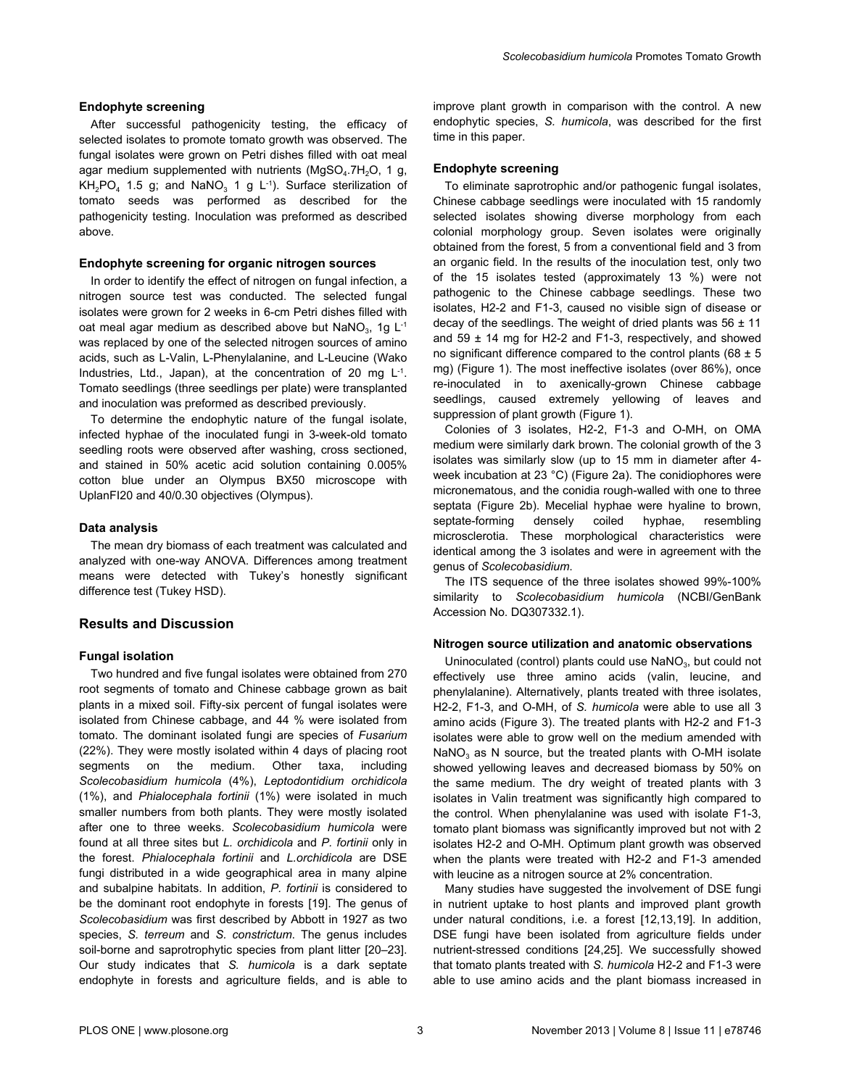#### **Endophyte screening**

After successful pathogenicity testing, the efficacy of selected isolates to promote tomato growth was observed. The fungal isolates were grown on Petri dishes filled with oat meal agar medium supplemented with nutrients (MgSO<sub>4</sub>.7H<sub>2</sub>O, 1 g, KH<sub>2</sub>PO<sub>4</sub> 1.5 g; and NaNO<sub>3</sub> 1 g L<sup>-1</sup>). Surface sterilization of tomato seeds was performed as described for the pathogenicity testing. Inoculation was preformed as described above.

#### **Endophyte screening for organic nitrogen sources**

In order to identify the effect of nitrogen on fungal infection, a nitrogen source test was conducted. The selected fungal isolates were grown for 2 weeks in 6-cm Petri dishes filled with oat meal agar medium as described above but NaNO<sub>3</sub>, 1g L<sup>-1</sup> was replaced by one of the selected nitrogen sources of amino acids, such as L-Valin, L-Phenylalanine, and L-Leucine (Wako Industries, Ltd., Japan), at the concentration of 20 mg L<sup>-1</sup>. Tomato seedlings (three seedlings per plate) were transplanted and inoculation was preformed as described previously.

To determine the endophytic nature of the fungal isolate, infected hyphae of the inoculated fungi in 3-week-old tomato seedling roots were observed after washing, cross sectioned, and stained in 50% acetic acid solution containing 0.005% cotton blue under an Olympus BX50 microscope with UplanFI20 and 40/0.30 objectives (Olympus).

#### **Data analysis**

The mean dry biomass of each treatment was calculated and analyzed with one-way ANOVA. Differences among treatment means were detected with Tukey's honestly significant difference test (Tukey HSD).

#### **Results and Discussion**

#### **Fungal isolation**

Two hundred and five fungal isolates were obtained from 270 root segments of tomato and Chinese cabbage grown as bait plants in a mixed soil. Fifty-six percent of fungal isolates were isolated from Chinese cabbage, and 44 % were isolated from tomato. The dominant isolated fungi are species of *Fusarium* (22%). They were mostly isolated within 4 days of placing root segments on the medium. Other taxa, including *Scolecobasidium humicola* (4%), *Leptodontidium orchidicola* (1%), and *Phialocephala fortinii* (1%) were isolated in much smaller numbers from both plants. They were mostly isolated after one to three weeks. *Scolecobasidium humicola* were found at all three sites but *L. orchidicola* and *P. fortinii* only in the forest. *Phialocephala fortinii* and *L.orchidicola* are DSE fungi distributed in a wide geographical area in many alpine and subalpine habitats. In addition, *P. fortinii* is considered to be the dominant root endophyte in forests [[19](#page-7-0)]. The genus of *Scolecobasidium* was first described by Abbott in 1927 as two species, *S. terreum* and *S. constrictum*. The genus includes soil-borne and saprotrophytic species from plant litter [\[20–23\]](#page-7-0). Our study indicates that *S. humicola* is a dark septate endophyte in forests and agriculture fields, and is able to

improve plant growth in comparison with the control. A new endophytic species, *S. humicola*, was described for the first time in this paper.

#### **Endophyte screening**

To eliminate saprotrophic and/or pathogenic fungal isolates, Chinese cabbage seedlings were inoculated with 15 randomly selected isolates showing diverse morphology from each colonial morphology group. Seven isolates were originally obtained from the forest, 5 from a conventional field and 3 from an organic field. In the results of the inoculation test, only two of the 15 isolates tested (approximately 13 %) were not pathogenic to the Chinese cabbage seedlings. These two isolates, H2-2 and F1-3, caused no visible sign of disease or decay of the seedlings. The weight of dried plants was  $56 \pm 11$ and 59  $\pm$  14 mg for H2-2 and F1-3, respectively, and showed no significant difference compared to the control plants (68  $\pm$  5 mg) ([Figure 1\)](#page-3-0). The most ineffective isolates (over 86%), once re-inoculated in to axenically-grown Chinese cabbage seedlings, caused extremely yellowing of leaves and suppression of plant growth ([Figure 1\)](#page-3-0).

Colonies of 3 isolates, H2-2, F1-3 and O-MH, on OMA medium were similarly dark brown. The colonial growth of the 3 isolates was similarly slow (up to 15 mm in diameter after 4 week incubation at 23 °C) [\(Figure 2a](#page-4-0)). The conidiophores were micronematous, and the conidia rough-walled with one to three septata [\(Figure 2b\)](#page-4-0). Mecelial hyphae were hyaline to brown, septate-forming densely coiled hyphae, resembling microsclerotia. These morphological characteristics were identical among the 3 isolates and were in agreement with the genus of *Scolecobasidium*.

The ITS sequence of the three isolates showed 99%-100% similarity to *Scolecobasidium humicola* (NCBI/GenBank Accession No. DQ307332.1).

#### **Nitrogen source utilization and anatomic observations**

Uninoculated (control) plants could use  $\text{NaNO}_3$ , but could not effectively use three amino acids (valin, leucine, and phenylalanine). Alternatively, plants treated with three isolates, H2-2, F1-3, and O-MH, of *S. humicola* were able to use all 3 amino acids [\(Figure 3](#page-5-0)). The treated plants with H2-2 and F1-3 isolates were able to grow well on the medium amended with  $\textsf{NaNO}_3$  as N source, but the treated plants with O-MH isolate showed yellowing leaves and decreased biomass by 50% on the same medium. The dry weight of treated plants with 3 isolates in Valin treatment was significantly high compared to the control. When phenylalanine was used with isolate F1-3, tomato plant biomass was significantly improved but not with 2 isolates H2-2 and O-MH. Optimum plant growth was observed when the plants were treated with H2-2 and F1-3 amended with leucine as a nitrogen source at 2% concentration.

Many studies have suggested the involvement of DSE fungi in nutrient uptake to host plants and improved plant growth under natural conditions, i.e. a forest [[12](#page-7-0),[13](#page-7-0),[19](#page-7-0)]. In addition, DSE fungi have been isolated from agriculture fields under nutrient-stressed conditions [[24](#page-7-0),[25](#page-7-0)]. We successfully showed that tomato plants treated with *S. humicola* H2-2 and F1-3 were able to use amino acids and the plant biomass increased in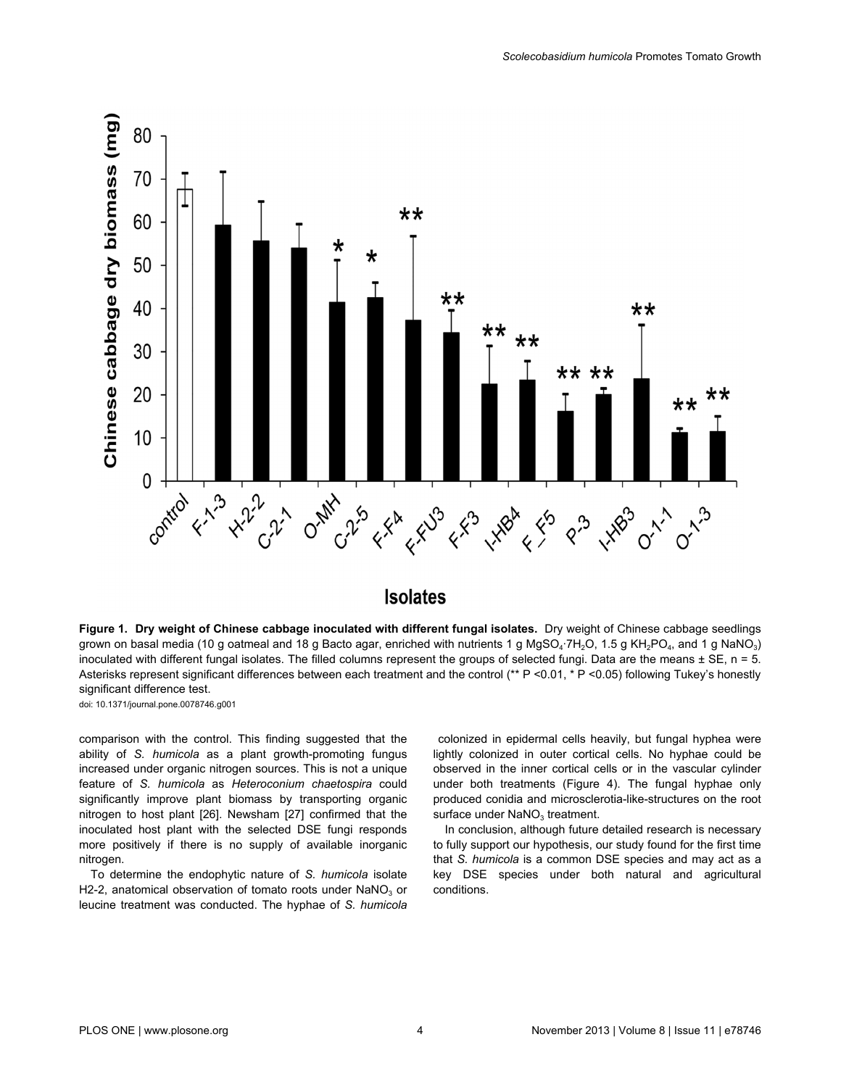<span id="page-3-0"></span>

# **Isolates**

**Figure 1. Dry weight of Chinese cabbage inoculated with different fungal isolates.** Dry weight of Chinese cabbage seedlings grown on basal media (10 g oatmeal and 18 g Bacto agar, enriched with nutrients 1 g MgSO $_4$ ·7H $_2$ O, 1.5 g KH $_2$ PO $_4$ , and 1 g NaNO $_3$ ) inoculated with different fungal isolates. The filled columns represent the groups of selected fungi. Data are the means  $\pm$  SE, n = 5. Asterisks represent significant differences between each treatment and the control (\*\* P <0.01, \* P <0.05) following Tukey's honestly significant difference test.

doi: 10.1371/journal.pone.0078746.g001

comparison with the control. This finding suggested that the ability of *S. humicola* as a plant growth-promoting fungus increased under organic nitrogen sources. This is not a unique feature of *S. humicola* as *Heteroconium chaetospira* could significantly improve plant biomass by transporting organic nitrogen to host plant [[26](#page-7-0)]. Newsham [[27](#page-7-0)] confirmed that the inoculated host plant with the selected DSE fungi responds more positively if there is no supply of available inorganic nitrogen.

To determine the endophytic nature of *S. humicola* isolate H2-2, anatomical observation of tomato roots under  $NaNO<sub>3</sub>$  or leucine treatment was conducted. The hyphae of *S. humicola*

 colonized in epidermal cells heavily, but fungal hyphea were lightly colonized in outer cortical cells. No hyphae could be observed in the inner cortical cells or in the vascular cylinder under both treatments ([Figure 4\)](#page-6-0). The fungal hyphae only produced conidia and microsclerotia-like-structures on the root surface under  $\mathsf{NANO}_3$  treatment.

In conclusion, although future detailed research is necessary to fully support our hypothesis, our study found for the first time that *S. humicola* is a common DSE species and may act as a key DSE species under both natural and agricultural conditions.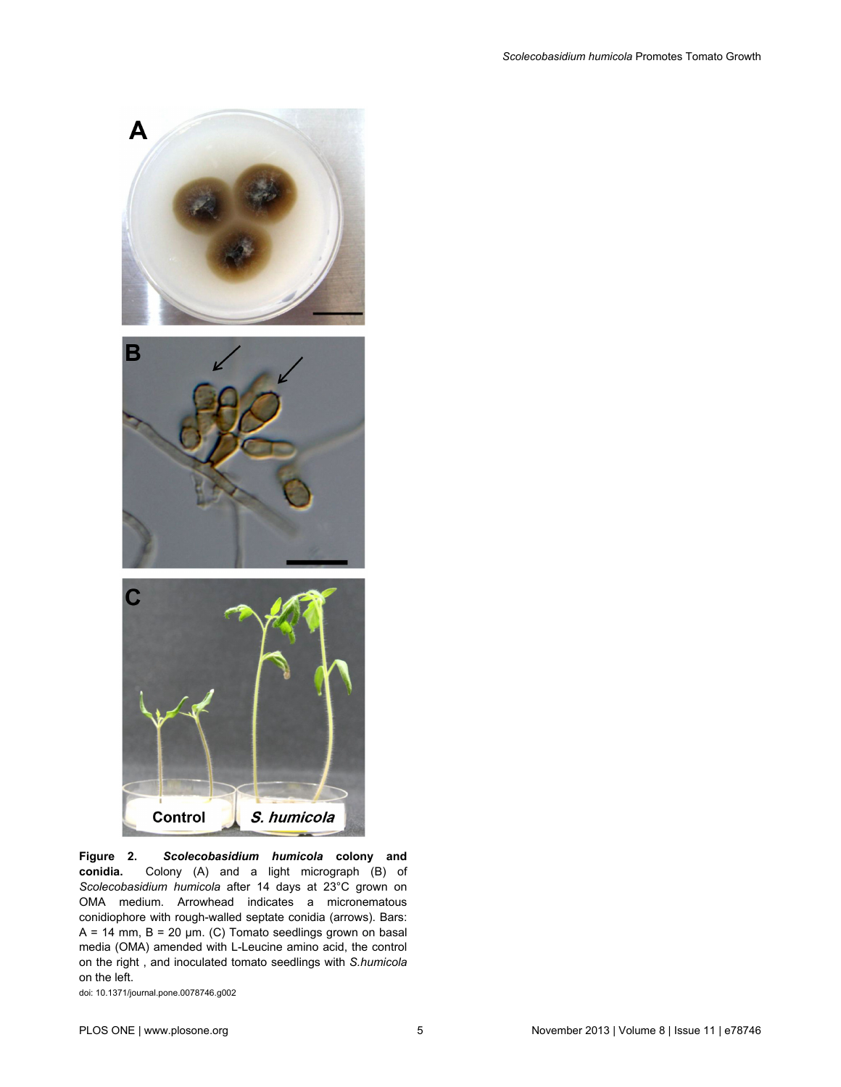<span id="page-4-0"></span>

**Figure 2.** *Scolecobasidium humicola* **colony and conidia.** Colony (A) and a light micrograph (B) of *Scolecobasidium humicola* after 14 days at 23°C grown on OMA medium. Arrowhead indicates a micronematous conidiophore with rough-walled septate conidia (arrows). Bars:  $A = 14$  mm,  $B = 20$  µm. (C) Tomato seedlings grown on basal media (OMA) amended with L-Leucine amino acid, the control on the right , and inoculated tomato seedlings with *S.humicola* on the left.

doi: 10.1371/journal.pone.0078746.g002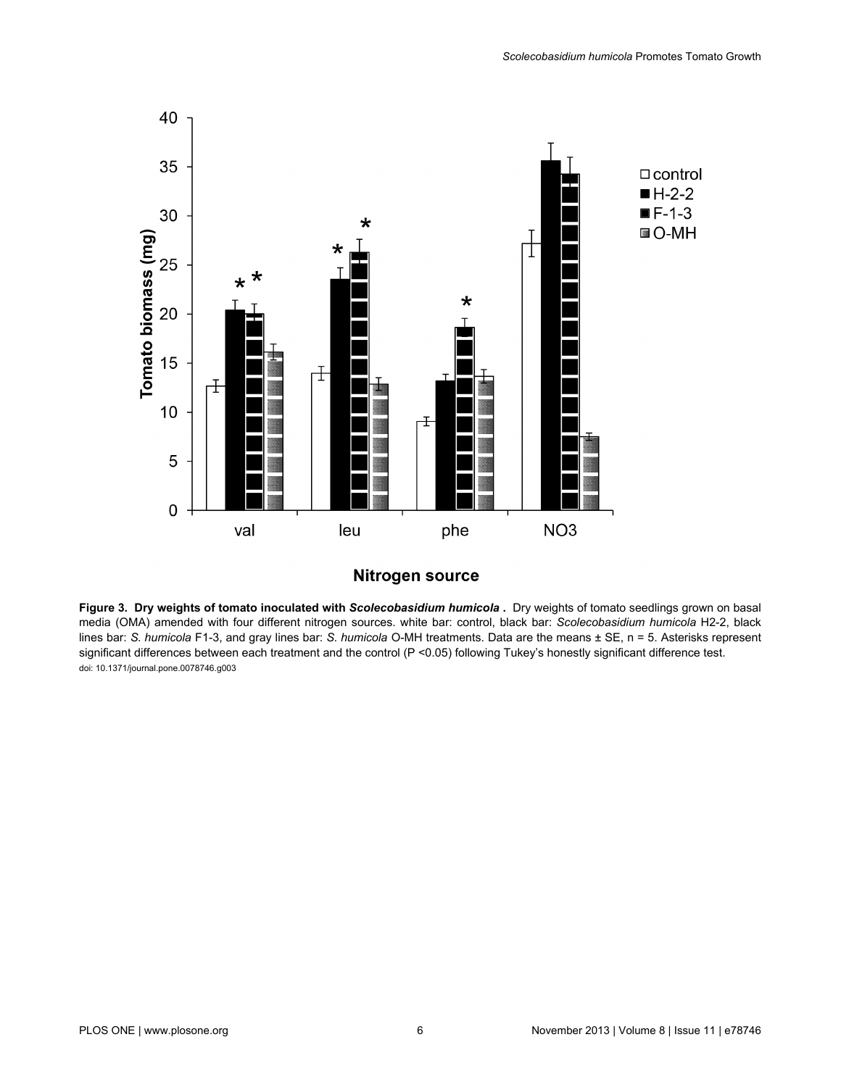<span id="page-5-0"></span>

# **Nitrogen source**

**Figure 3. Dry weights of tomato inoculated with** *Scolecobasidium humicola* **.** Dry weights of tomato seedlings grown on basal media (OMA) amended with four different nitrogen sources. white bar: control, black bar: *Scolecobasidium humicola* H2-2, black lines bar: *S. humicola* F1-3, and gray lines bar: *S. humicola* O-MH treatments. Data are the means ± SE, n = 5. Asterisks represent significant differences between each treatment and the control (P <0.05) following Tukey's honestly significant difference test. doi: 10.1371/journal.pone.0078746.g003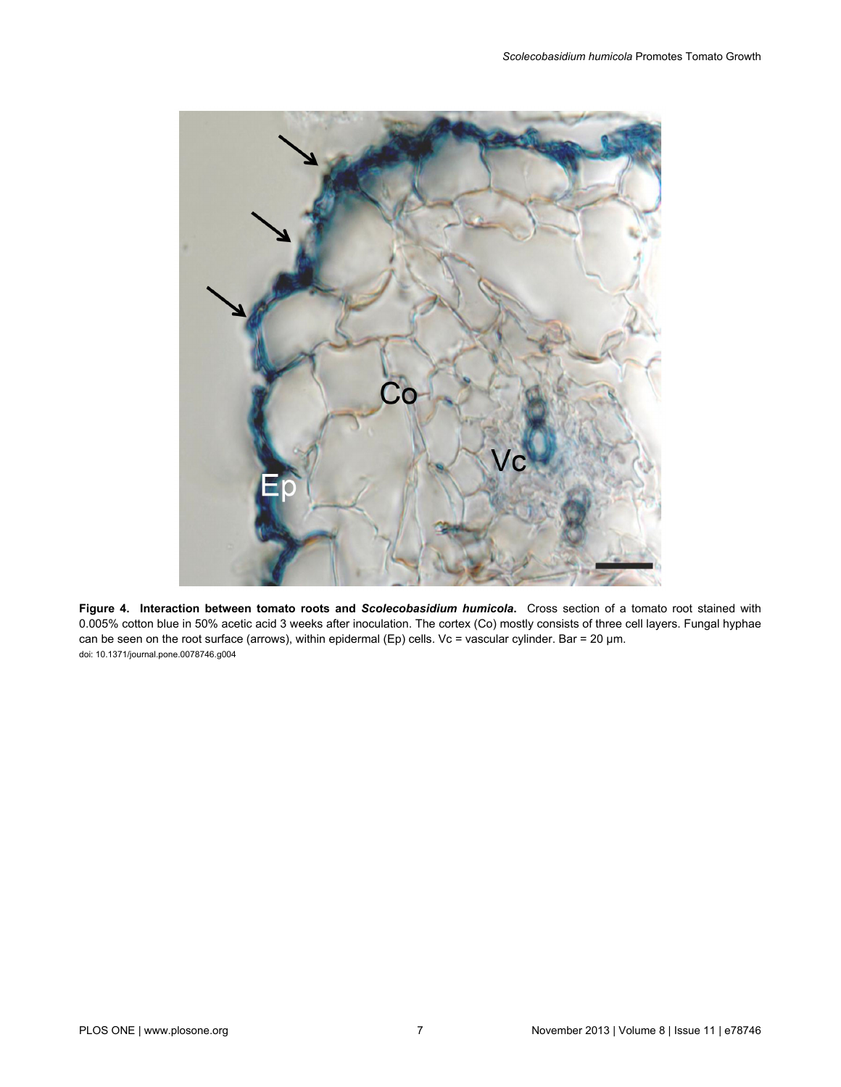<span id="page-6-0"></span>

**Figure 4. Interaction between tomato roots and** *Scolecobasidium humicola***.** Cross section of a tomato root stained with 0.005% cotton blue in 50% acetic acid 3 weeks after inoculation. The cortex (Co) mostly consists of three cell layers. Fungal hyphae can be seen on the root surface (arrows), within epidermal (Ep) cells. Vc = vascular cylinder. Bar = 20 µm. doi: 10.1371/journal.pone.0078746.g004